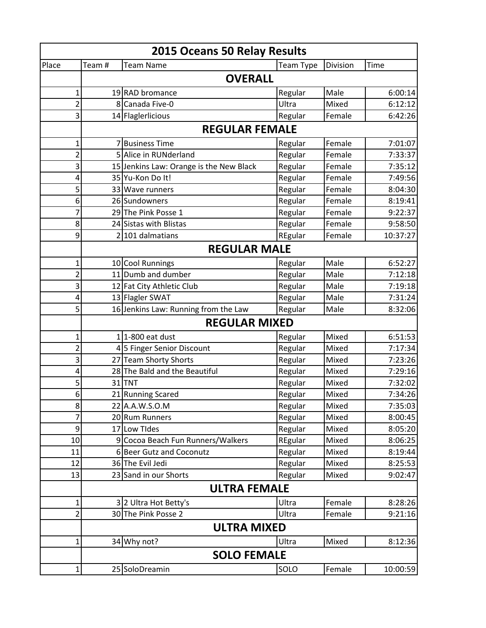| 2015 Oceans 50 Relay Results |        |                                         |           |          |          |
|------------------------------|--------|-----------------------------------------|-----------|----------|----------|
| Place                        | Team # | <b>Team Name</b>                        | Team Type | Division | Time     |
|                              |        | <b>OVERALL</b>                          |           |          |          |
| 1                            |        | 19RAD bromance                          | Regular   | Male     | 6:00:14  |
| $\overline{2}$               |        | 8 Canada Five-0                         | Ultra     | Mixed    | 6:12:12  |
| 3                            |        | 14 Flaglerlicious                       | Regular   | Female   | 6:42:26  |
|                              |        | <b>REGULAR FEMALE</b>                   |           |          |          |
| 1                            |        | 7 Business Time                         | Regular   | Female   | 7:01:07  |
| $\overline{2}$               |        | 5 Alice in RUNderland                   | Regular   | Female   | 7:33:37  |
| 3                            |        | 15 Jenkins Law: Orange is the New Black | Regular   | Female   | 7:35:12  |
| 4                            |        | 35 Yu-Kon Do It!                        | Regular   | Female   | 7:49:56  |
| 5                            |        | 33 Wave runners                         | Regular   | Female   | 8:04:30  |
| 6                            |        | 26 Sundowners                           | Regular   | Female   | 8:19:41  |
| 7                            |        | 29 The Pink Posse 1                     | Regular   | Female   | 9:22:37  |
| 8                            |        | 24 Sistas with Blistas                  | Regular   | Female   | 9:58:50  |
| 9                            |        | 2 101 dalmatians                        | REgular   | Female   | 10:37:27 |
|                              |        | <b>REGULAR MALE</b>                     |           |          |          |
| 1                            |        | 10 Cool Runnings                        | Regular   | Male     | 6:52:27  |
| $\overline{2}$               |        | 11 Dumb and dumber                      | Regular   | Male     | 7:12:18  |
| 3                            |        | 12 Fat City Athletic Club               | Regular   | Male     | 7:19:18  |
| 4                            |        | 13 Flagler SWAT                         | Regular   | Male     | 7:31:24  |
| 5                            |        | 16 Jenkins Law: Running from the Law    | Regular   | Male     | 8:32:06  |
|                              |        | <b>REGULAR MIXED</b>                    |           |          |          |
| $\mathbf 1$                  |        | 1 <sup>1</sup> -800 eat dust            | Regular   | Mixed    | 6:51:53  |
| $\overline{2}$               |        | 4 5 Finger Senior Discount              | Regular   | Mixed    | 7:17:34  |
| 3                            |        | 27 Team Shorty Shorts                   | Regular   | Mixed    | 7:23:26  |
| 4                            |        | 28 The Bald and the Beautiful           | Regular   | Mixed    | 7:29:16  |
| 5                            |        | 31 TNT                                  | Regular   | Mixed    | 7:32:02  |
| $6 \mid$                     |        | 21 Running Scared                       | Regular   | Mixed    | 7:34:26  |
| 8                            |        | 22 A.A.W.S.O.M                          | Regular   | Mixed    | 7:35:03  |
| 7                            |        | 20 Rum Runners                          | Regular   | Mixed    | 8:00:45  |
| 9                            |        | 17 Low Tides                            | Regular   | Mixed    | 8:05:20  |
| 10                           |        | 9 Cocoa Beach Fun Runners/Walkers       | REgular   | Mixed    | 8:06:25  |
| 11                           |        | 6 Beer Gutz and Coconutz                | Regular   | Mixed    | 8:19:44  |
| 12                           |        | 36 The Evil Jedi                        | Regular   | Mixed    | 8:25:53  |
| 13                           |        | 23 Sand in our Shorts                   | Regular   | Mixed    | 9:02:47  |
|                              |        | <b>ULTRA FEMALE</b>                     |           |          |          |
| $\mathbf{1}$                 |        | 3 2 Ultra Hot Betty's                   | Ultra     | Female   | 8:28:26  |
| $\overline{2}$               |        | 30 The Pink Posse 2                     | Ultra     | Female   | 9:21:16  |
|                              |        | <b>ULTRA MIXED</b>                      |           |          |          |
| $\mathbf{1}$                 |        | 34 Why not?                             | Ultra     | Mixed    | 8:12:36  |
|                              |        | <b>SOLO FEMALE</b>                      |           |          |          |
| $\mathbf 1$                  |        | 25 SoloDreamin                          | SOLO      | Female   | 10:00:59 |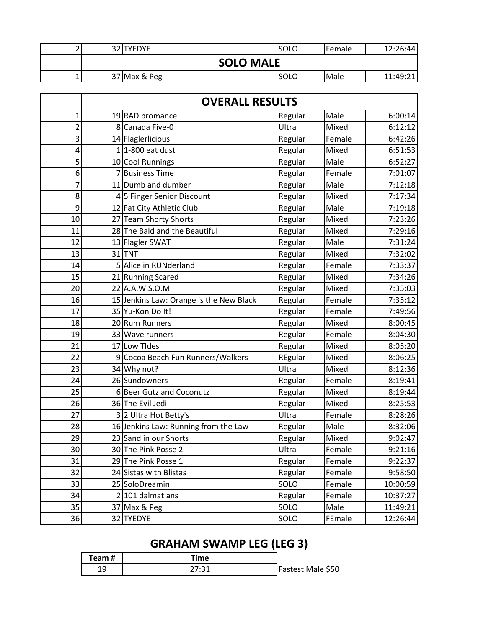|  | 32 TYEDYE    |                  | <b>SOLO</b> | <b>I</b> Female | 12:26:44 |
|--|--------------|------------------|-------------|-----------------|----------|
|  |              | <b>SOLO MALE</b> |             |                 |          |
|  | 37 Max & Peg |                  | ISOLO       | <b>I</b> Male   | 11:49:21 |

|                 | <b>OVERALL RESULTS</b> |                                         |         |        |          |
|-----------------|------------------------|-----------------------------------------|---------|--------|----------|
| 1               |                        | 19RAD bromance                          | Regular | Male   | 6:00:14  |
| 2               |                        | 8 Canada Five-0                         | Ultra   | Mixed  | 6:12:12  |
| 3               |                        | 14 Flaglerlicious                       | Regular | Female | 6:42:26  |
| 4               |                        | $1$ 1-800 eat dust                      | Regular | Mixed  | 6:51:53  |
| 5               |                        | 10 Cool Runnings                        | Regular | Male   | 6:52:27  |
| 6               | 7                      | <b>Business Time</b>                    | Regular | Female | 7:01:07  |
| 7               |                        | 11 Dumb and dumber                      | Regular | Male   | 7:12:18  |
| 8               |                        | 45 Finger Senior Discount               | Regular | Mixed  | 7:17:34  |
| 9               |                        | 12 Fat City Athletic Club               | Regular | Male   | 7:19:18  |
| 10              |                        | 27 Team Shorty Shorts                   | Regular | Mixed  | 7:23:26  |
| 11              |                        | 28 The Bald and the Beautiful           | Regular | Mixed  | 7:29:16  |
| 12              |                        | 13 Flagler SWAT                         | Regular | Male   | 7:31:24  |
| 13              |                        | 31TNT                                   | Regular | Mixed  | 7:32:02  |
| 14              |                        | 5 Alice in RUNderland                   | Regular | Female | 7:33:37  |
| 15              |                        | 21 Running Scared                       | Regular | Mixed  | 7:34:26  |
| 20              |                        | 22 A.A.W.S.O.M                          | Regular | Mixed  | 7:35:03  |
| 16              |                        | 15 Jenkins Law: Orange is the New Black | Regular | Female | 7:35:12  |
| 17              |                        | 35 Yu-Kon Do It!                        | Regular | Female | 7:49:56  |
| 18              |                        | 20 Rum Runners                          | Regular | Mixed  | 8:00:45  |
| 19              |                        | 33 Wave runners                         | Regular | Female | 8:04:30  |
| 21              |                        | 17 Low Tides                            | Regular | Mixed  | 8:05:20  |
| 22              |                        | 9 Cocoa Beach Fun Runners/Walkers       | REgular | Mixed  | 8:06:25  |
| 23              |                        | 34 Why not?                             | Ultra   | Mixed  | 8:12:36  |
| 24              |                        | 26 Sundowners                           | Regular | Female | 8:19:41  |
| 25              |                        | 6 Beer Gutz and Coconutz                | Regular | Mixed  | 8:19:44  |
| 26              |                        | 36 The Evil Jedi                        | Regular | Mixed  | 8:25:53  |
| 27              |                        | 3 2 Ultra Hot Betty's                   | Ultra   | Female | 8:28:26  |
| 28              |                        | 16 Jenkins Law: Running from the Law    | Regular | Male   | 8:32:06  |
| 29              |                        | 23 Sand in our Shorts                   | Regular | Mixed  | 9:02:47  |
| 30 <sup>1</sup> |                        | 30 The Pink Posse 2                     | Ultra   | Female | 9:21:16  |
| 31              |                        | 29 The Pink Posse 1                     | Regular | Female | 9:22:37  |
| 32              |                        | 24 Sistas with Blistas                  | Regular | Female | 9:58:50  |
| 33              |                        | 25 SoloDreamin                          | SOLO    | Female | 10:00:59 |
| 34              |                        | 2 101 dalmatians                        | Regular | Female | 10:37:27 |
| 35              |                        | 37 Max & Peg                            | SOLO    | Male   | 11:49:21 |
| 36              |                        | 32 TYEDYE                               | SOLO    | FEmale | 12:26:44 |

## **GRAHAM SWAMP LEG (LEG 3)**

| Team # | ⊺ime |                   |
|--------|------|-------------------|
| --     |      | Fastest Male \$50 |